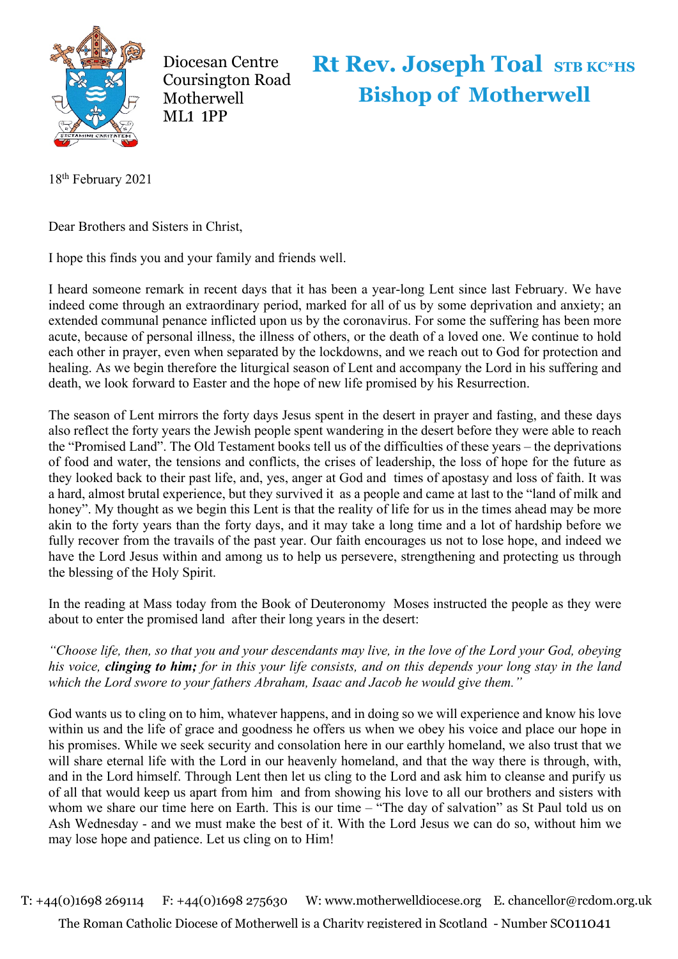

Diocesan Centre Coursington Road **Motherwell** ML**1 1**PP

## **Rt Rev. Joseph Toal STB KC\*HS Bishop of Motherwell**

18th February 2021

Dear Brothers and Sisters in Christ,

I hope this finds you and your family and friends well.

I heard someone remark in recent days that it has been a year-long Lent since last February. We have indeed come through an extraordinary period, marked for all of us by some deprivation and anxiety; an extended communal penance inflicted upon us by the coronavirus. For some the suffering has been more acute, because of personal illness, the illness of others, or the death of a loved one. We continue to hold each other in prayer, even when separated by the lockdowns, and we reach out to God for protection and healing. As we begin therefore the liturgical season of Lent and accompany the Lord in his suffering and death, we look forward to Easter and the hope of new life promised by his Resurrection.

The season of Lent mirrors the forty days Jesus spent in the desert in prayer and fasting, and these days also reflect the forty years the Jewish people spent wandering in the desert before they were able to reach the "Promised Land". The Old Testament books tell us of the difficulties of these years – the deprivations of food and water, the tensions and conflicts, the crises of leadership, the loss of hope for the future as they looked back to their past life, and, yes, anger at God and times of apostasy and loss of faith. It was a hard, almost brutal experience, but they survived it as a people and came at last to the "land of milk and honey". My thought as we begin this Lent is that the reality of life for us in the times ahead may be more akin to the forty years than the forty days, and it may take a long time and a lot of hardship before we fully recover from the travails of the past year. Our faith encourages us not to lose hope, and indeed we have the Lord Jesus within and among us to help us persevere, strengthening and protecting us through the blessing of the Holy Spirit.

In the reading at Mass today from the Book of Deuteronomy Moses instructed the people as they were about to enter the promised land after their long years in the desert:

*"Choose life, then, so that you and your descendants may live, in the love of the Lord your God, obeying his voice, clinging to him; for in this your life consists, and on this depends your long stay in the land which the Lord swore to your fathers Abraham, Isaac and Jacob he would give them."*

God wants us to cling on to him, whatever happens, and in doing so we will experience and know his love within us and the life of grace and goodness he offers us when we obey his voice and place our hope in his promises. While we seek security and consolation here in our earthly homeland, we also trust that we will share eternal life with the Lord in our heavenly homeland, and that the way there is through, with, and in the Lord himself. Through Lent then let us cling to the Lord and ask him to cleanse and purify us of all that would keep us apart from him and from showing his love to all our brothers and sisters with whom we share our time here on Earth. This is our time – "The day of salvation" as St Paul told us on Ash Wednesday - and we must make the best of it. With the Lord Jesus we can do so, without him we may lose hope and patience. Let us cling on to Him!

T: +44(0)1698 269114 F: +44(0)1698 275630 W: www.motherwelldiocese.org E. chancellor@rcdom.org.uk The Roman Catholic Diocese of Motherwell is a Charity registered in Scotland - Number SC011041